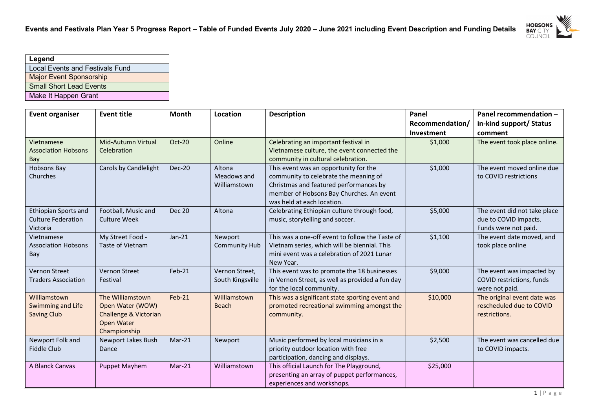

| Legend                                 |
|----------------------------------------|
| <b>Local Events and Festivals Fund</b> |
| <b>Major Event Sponsorship</b>         |
| <b>Small Short Lead Events</b>         |
| Make It Happen Grant                   |

| <b>Event organiser</b>                                        | <b>Event title</b>                                                                          | <b>Month</b>  | Location                              | <b>Description</b>                                                                                                                                                                                 | Panel                                | Panel recommendation -                                                        |
|---------------------------------------------------------------|---------------------------------------------------------------------------------------------|---------------|---------------------------------------|----------------------------------------------------------------------------------------------------------------------------------------------------------------------------------------------------|--------------------------------------|-------------------------------------------------------------------------------|
|                                                               |                                                                                             |               |                                       |                                                                                                                                                                                                    | Recommendation/<br><b>Investment</b> | in-kind support/ Status<br>comment                                            |
| Vietnamese<br><b>Association Hobsons</b><br>Bay               | Mid-Autumn Virtual<br>Celebration                                                           | <b>Oct-20</b> | Online                                | Celebrating an important festival in<br>Vietnamese culture, the event connected the<br>community in cultural celebration.                                                                          | \$1,000                              | The event took place online.                                                  |
| Hobsons Bay<br>Churches                                       | Carols by Candlelight                                                                       | <b>Dec-20</b> | Altona<br>Meadows and<br>Williamstown | This event was an opportunity for the<br>community to celebrate the meaning of<br>Christmas and featured performances by<br>member of Hobsons Bay Churches. An event<br>was held at each location. | \$1,000                              | The event moved online due<br>to COVID restrictions                           |
| Ethiopian Sports and<br><b>Culture Federation</b><br>Victoria | Football, Music and<br><b>Culture Week</b>                                                  | <b>Dec 20</b> | Altona                                | Celebrating Ethiopian culture through food,<br>music, storytelling and soccer.                                                                                                                     | \$5,000                              | The event did not take place<br>due to COVID impacts.<br>Funds were not paid. |
| Vietnamese<br><b>Association Hobsons</b><br>Bay               | My Street Food -<br>Taste of Vietnam                                                        | $Jan-21$      | Newport<br>Community Hub              | This was a one-off event to follow the Taste of<br>Vietnam series, which will be biennial. This<br>mini event was a celebration of 2021 Lunar<br>New Year.                                         | \$1,100                              | The event date moved, and<br>took place online                                |
| <b>Vernon Street</b><br><b>Traders Association</b>            | Vernon Street<br>Festival                                                                   | $Feb-21$      | Vernon Street,<br>South Kingsville    | This event was to promote the 18 businesses<br>in Vernon Street, as well as provided a fun day<br>for the local community.                                                                         | \$9,000                              | The event was impacted by<br>COVID restrictions, funds<br>were not paid.      |
| Williamstown<br>Swimming and Life<br><b>Saving Club</b>       | The Williamstown<br>Open Water (WOW)<br>Challenge & Victorian<br>Open Water<br>Championship | Feb-21        | Williamstown<br><b>Beach</b>          | This was a significant state sporting event and<br>promoted recreational swimming amongst the<br>community.                                                                                        | \$10,000                             | The original event date was<br>rescheduled due to COVID<br>restrictions.      |
| Newport Folk and<br><b>Fiddle Club</b>                        | Newport Lakes Bush<br>Dance                                                                 | $Mar-21$      | Newport                               | Music performed by local musicians in a<br>priority outdoor location with free<br>participation, dancing and displays.                                                                             | \$2,500                              | The event was cancelled due<br>to COVID impacts.                              |
| A Blanck Canvas                                               | Puppet Mayhem                                                                               | $Mar-21$      | Williamstown                          | This official Launch for The Playground,<br>presenting an array of puppet performances,<br>experiences and workshops.                                                                              | \$25,000                             |                                                                               |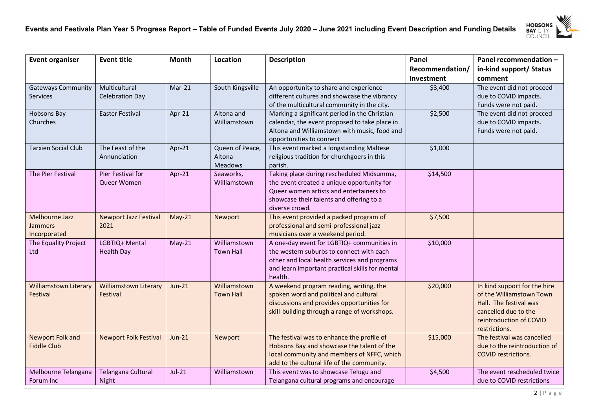

| <b>Event organiser</b>         | <b>Event title</b>           | Month         | Location         | <b>Description</b>                                                          | Panel           | Panel recommendation -       |
|--------------------------------|------------------------------|---------------|------------------|-----------------------------------------------------------------------------|-----------------|------------------------------|
|                                |                              |               |                  |                                                                             | Recommendation/ | in-kind support/ Status      |
|                                |                              |               |                  |                                                                             | Investment      | comment                      |
| <b>Gateways Community</b>      | Multicultural                | $Mar-21$      | South Kingsville | An opportunity to share and experience                                      | \$3,400         | The event did not proceed    |
| <b>Services</b>                | Celebration Day              |               |                  | different cultures and showcase the vibrancy                                |                 | due to COVID impacts.        |
|                                |                              |               |                  | of the multicultural community in the city.                                 |                 | Funds were not paid.         |
| Hobsons Bay                    | <b>Easter Festival</b>       | Apr-21        | Altona and       | Marking a significant period in the Christian                               | \$2,500         | The event did not procced    |
| Churches                       |                              |               | Williamstown     | calendar, the event proposed to take place in                               |                 | due to COVID impacts.        |
|                                |                              |               |                  | Altona and Williamstown with music, food and                                |                 | Funds were not paid.         |
|                                |                              |               |                  | opportunities to connect                                                    |                 |                              |
| <b>Tarxien Social Club</b>     | The Feast of the             | Apr-21        | Queen of Peace,  | This event marked a longstanding Maltese                                    | \$1,000         |                              |
|                                | Annunciation                 |               | Altona           | religious tradition for churchgoers in this                                 |                 |                              |
|                                |                              |               | <b>Meadows</b>   | parish.                                                                     |                 |                              |
| The Pier Festival              | Pier Festival for            | Apr-21        | Seaworks,        | Taking place during rescheduled Midsumma,                                   | \$14,500        |                              |
|                                | Queer Women                  |               | Williamstown     | the event created a unique opportunity for                                  |                 |                              |
|                                |                              |               |                  | Queer women artists and entertainers to                                     |                 |                              |
|                                |                              |               |                  | showcase their talents and offering to a                                    |                 |                              |
|                                |                              |               |                  | diverse crowd.                                                              |                 |                              |
| <b>Melbourne Jazz</b>          | <b>Newport Jazz Festival</b> | $May-21$      | Newport          | This event provided a packed program of                                     | \$7,500         |                              |
| <b>Jammers</b><br>Incorporated | 2021                         |               |                  | professional and semi-professional jazz<br>musicians over a weekend period. |                 |                              |
| The Equality Project           | LGBTIQ+ Mental               | $May-21$      | Williamstown     | A one-day event for LGBTIQ+ communities in                                  | \$10,000        |                              |
| Ltd                            | <b>Health Day</b>            |               | <b>Town Hall</b> | the western suburbs to connect with each                                    |                 |                              |
|                                |                              |               |                  | other and local health services and programs                                |                 |                              |
|                                |                              |               |                  | and learn important practical skills for mental                             |                 |                              |
|                                |                              |               |                  | health.                                                                     |                 |                              |
| <b>Williamstown Literary</b>   | <b>Williamstown Literary</b> | $Jun-21$      | Williamstown     | A weekend program reading, writing, the                                     | \$20,000        | In kind support for the hire |
| Festival                       | Festival                     |               | <b>Town Hall</b> | spoken word and political and cultural                                      |                 | of the Williamstown Town     |
|                                |                              |               |                  | discussions and provides opportunities for                                  |                 | Hall. The festival was       |
|                                |                              |               |                  | skill-building through a range of workshops.                                |                 | cancelled due to the         |
|                                |                              |               |                  |                                                                             |                 | reintroduction of COVID      |
|                                |                              |               |                  |                                                                             |                 | restrictions.                |
| <b>Newport Folk and</b>        | <b>Newport Folk Festival</b> | <b>Jun-21</b> | Newport          | The festival was to enhance the profile of                                  | \$15,000        | The festival was cancelled   |
| <b>Fiddle Club</b>             |                              |               |                  | Hobsons Bay and showcase the talent of the                                  |                 | due to the reintroduction of |
|                                |                              |               |                  | local community and members of NFFC, which                                  |                 | <b>COVID restrictions.</b>   |
|                                |                              |               |                  | add to the cultural life of the community.                                  |                 |                              |
| Melbourne Telangana            | Telangana Cultural           | $Jul-21$      | Williamstown     | This event was to showcase Telugu and                                       | \$4,500         | The event rescheduled twice  |
| Forum Inc                      | Night                        |               |                  | Telangana cultural programs and encourage                                   |                 | due to COVID restrictions    |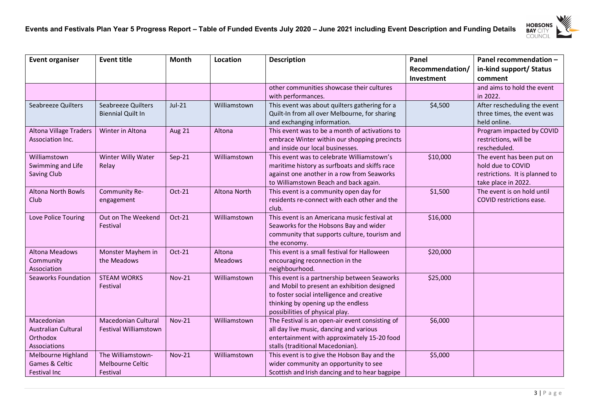

| <b>Event organiser</b>        | <b>Event title</b>           | <b>Month</b> | Location                 | <b>Description</b>                                           | Panel           | Panel recommendation -         |
|-------------------------------|------------------------------|--------------|--------------------------|--------------------------------------------------------------|-----------------|--------------------------------|
|                               |                              |              |                          |                                                              | Recommendation/ | in-kind support/ Status        |
|                               |                              |              |                          |                                                              | Investment      | comment                        |
|                               |                              |              |                          | other communities showcase their cultures                    |                 | and aims to hold the event     |
|                               |                              |              |                          | with performances.                                           |                 | in 2022.                       |
| Seabreeze Quilters            | Seabreeze Quilters           | $Jul-21$     | Williamstown             | This event was about quilters gathering for a                | \$4,500         | After rescheduling the event   |
|                               | <b>Biennial Quilt In</b>     |              |                          | Quilt-In from all over Melbourne, for sharing                |                 | three times, the event was     |
|                               |                              |              |                          | and exchanging information.                                  |                 | held online.                   |
| <b>Altona Village Traders</b> | Winter in Altona             | Aug 21       | Altona                   | This event was to be a month of activations to               |                 | Program impacted by COVID      |
| <b>Association Inc.</b>       |                              |              |                          | embrace Winter within our shopping precincts                 |                 | restrictions, will be          |
|                               |                              |              |                          | and inside our local businesses.                             |                 | rescheduled.                   |
| Williamstown                  | Winter Willy Water           | $Sep-21$     | Williamstown             | This event was to celebrate Williamstown's                   | \$10,000        | The event has been put on      |
| Swimming and Life             | Relay                        |              |                          | maritime history as surfboats and skiffs race                |                 | hold due to COVID              |
| <b>Saving Club</b>            |                              |              |                          | against one another in a row from Seaworks                   |                 | restrictions. It is planned to |
|                               |                              |              |                          | to Williamstown Beach and back again.                        |                 | take place in 2022.            |
| <b>Altona North Bowls</b>     | Community Re-                | Oct-21       | Altona North             | This event is a community open day for                       | \$1,500         | The event is on hold until     |
| Club                          | engagement                   |              |                          | residents re-connect with each other and the                 |                 | COVID restrictions ease.       |
|                               |                              |              |                          | club.                                                        |                 |                                |
| Love Police Touring           | Out on The Weekend           | $Oct-21$     | Williamstown             | This event is an Americana music festival at                 | \$16,000        |                                |
|                               | Festival                     |              |                          | Seaworks for the Hobsons Bay and wider                       |                 |                                |
|                               |                              |              |                          | community that supports culture, tourism and                 |                 |                                |
| <b>Altona Meadows</b>         |                              |              |                          | the economy.<br>This event is a small festival for Halloween |                 |                                |
|                               | Monster Mayhem in            | Oct-21       | Altona<br><b>Meadows</b> |                                                              | \$20,000        |                                |
| Community<br>Association      | the Meadows                  |              |                          | encouraging reconnection in the<br>neighbourhood.            |                 |                                |
| Seaworks Foundation           | <b>STEAM WORKS</b>           | $Nov-21$     | Williamstown             | This event is a partnership between Seaworks                 | \$25,000        |                                |
|                               | Festival                     |              |                          | and Mobil to present an exhibition designed                  |                 |                                |
|                               |                              |              |                          | to foster social intelligence and creative                   |                 |                                |
|                               |                              |              |                          | thinking by opening up the endless                           |                 |                                |
|                               |                              |              |                          | possibilities of physical play.                              |                 |                                |
| Macedonian                    | <b>Macedonian Cultural</b>   | $Nov-21$     | Williamstown             | The Festival is an open-air event consisting of              | \$6,000         |                                |
| <b>Australian Cultural</b>    | <b>Festival Williamstown</b> |              |                          | all day live music, dancing and various                      |                 |                                |
| Orthodox                      |                              |              |                          | entertainment with approximately 15-20 food                  |                 |                                |
| Associations                  |                              |              |                          | stalls (traditional Macedonian).                             |                 |                                |
| Melbourne Highland            | The Williamstown-            | $Nov-21$     | Williamstown             | This event is to give the Hobson Bay and the                 | \$5,000         |                                |
| Games & Celtic                | Melbourne Celtic             |              |                          | wider community an opportunity to see                        |                 |                                |
| <b>Festival Inc</b>           | Festival                     |              |                          | Scottish and Irish dancing and to hear bagpipe               |                 |                                |